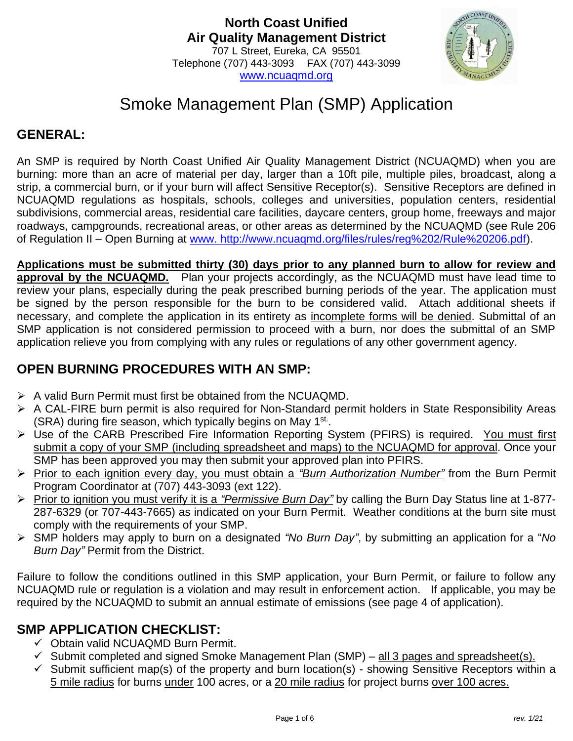

# Smoke Management Plan (SMP) Application

## **GENERAL:**

An SMP is required by North Coast Unified Air Quality Management District (NCUAQMD) when you are burning: more than an acre of material per day, larger than a 10ft pile, multiple piles, broadcast, along a strip, a commercial burn, or if your burn will affect Sensitive Receptor(s). Sensitive Receptors are defined in NCUAQMD regulations as hospitals, schools, colleges and universities, population centers, residential subdivisions, commercial areas, residential care facilities, daycare centers, group home, freeways and major roadways, campgrounds, recreational areas, or other areas as determined by the NCUAQMD (see Rule 206 of Regulation II – Open Burning at [www. http://www.ncuaqmd.org/files/rules/reg%202/Rule%20206.pdf\)](www.%20http:/www.ncuaqmd.org/files/rules/reg%202/Rule%20206.pdf).

**Applications must be submitted thirty (30) days prior to any planned burn to allow for review and approval by the NCUAQMD.** Plan your projects accordingly, as the NCUAQMD must have lead time to review your plans, especially during the peak prescribed burning periods of the year. The application must be signed by the person responsible for the burn to be considered valid. Attach additional sheets if necessary, and complete the application in its entirety as incomplete forms will be denied. Submittal of an SMP application is not considered permission to proceed with a burn, nor does the submittal of an SMP application relieve you from complying with any rules or regulations of any other government agency.

# **OPEN BURNING PROCEDURES WITH AN SMP:**

- ➢ A valid Burn Permit must first be obtained from the NCUAQMD.
- ➢ A CAL-FIRE burn permit is also required for Non-Standard permit holders in State Responsibility Areas (SRA) during fire season, which typically begins on May 1<sup>st.</sup>.
- ➢ Use of the CARB Prescribed Fire Information Reporting System (PFIRS) is required. You must first submit a copy of your SMP (including spreadsheet and maps) to the NCUAQMD for approval. Once your SMP has been approved you may then submit your approved plan into PFIRS.
- ➢ Prior to each ignition every day, you must obtain a *"Burn Authorization Number"* from the Burn Permit Program Coordinator at (707) 443-3093 (ext 122).
- ➢ Prior to ignition you must verify it is a *"Permissive Burn Day"* by calling the Burn Day Status line at 1-877- 287-6329 (or 707-443-7665) as indicated on your Burn Permit. Weather conditions at the burn site must comply with the requirements of your SMP.
- ➢ SMP holders may apply to burn on a designated *"No Burn Day"*, by submitting an application for a "*No Burn Day"* Permit from the District.

Failure to follow the conditions outlined in this SMP application, your Burn Permit, or failure to follow any NCUAQMD rule or regulation is a violation and may result in enforcement action. If applicable, you may be required by the NCUAQMD to submit an annual estimate of emissions (see page 4 of application).

## **SMP APPLICATION CHECKLIST:**

- ✓ Obtain valid NCUAQMD Burn Permit.
- $\checkmark$  Submit completed and signed Smoke Management Plan (SMP) all 3 pages and spreadsheet(s).
- $\checkmark$  Submit sufficient map(s) of the property and burn location(s) showing Sensitive Receptors within a 5 mile radius for burns under 100 acres, or a 20 mile radius for project burns over 100 acres.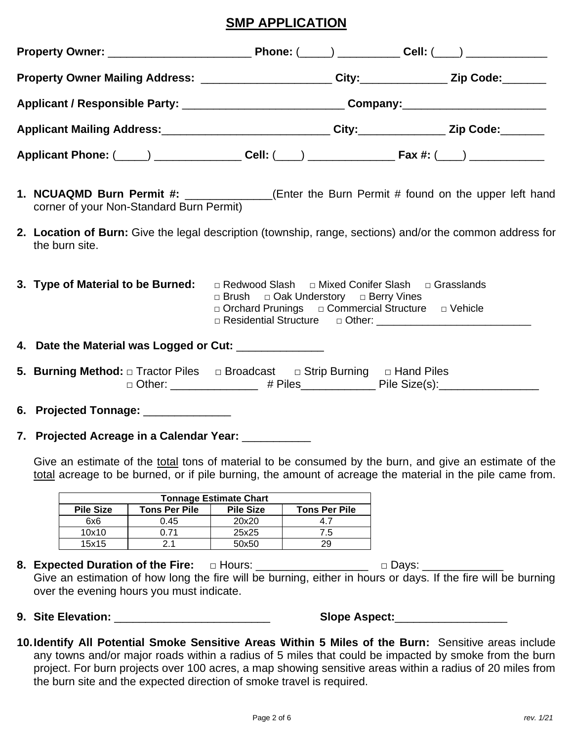#### **SMP APPLICATION**

| Property Owner Mailing Address: ______________________City:_____________Zip Code:_______        |                                                                                                                                                                                                      |                                                                                                           |  |  |  |  |  |
|-------------------------------------------------------------------------------------------------|------------------------------------------------------------------------------------------------------------------------------------------------------------------------------------------------------|-----------------------------------------------------------------------------------------------------------|--|--|--|--|--|
|                                                                                                 | Applicant / Responsible Party: _______________________________Company: _____________________________                                                                                                 |                                                                                                           |  |  |  |  |  |
| Applicant Mailing Address:_____________________________City:_____________Zip Code:________      |                                                                                                                                                                                                      |                                                                                                           |  |  |  |  |  |
|                                                                                                 |                                                                                                                                                                                                      |                                                                                                           |  |  |  |  |  |
| corner of your Non-Standard Burn Permit)                                                        |                                                                                                                                                                                                      | 1. NCUAQMD Burn Permit #: ____________(Enter the Burn Permit # found on the upper left hand               |  |  |  |  |  |
| the burn site.                                                                                  |                                                                                                                                                                                                      | 2. Location of Burn: Give the legal description (township, range, sections) and/or the common address for |  |  |  |  |  |
|                                                                                                 | 3. Type of Material to be Burned: $\Box$ Redwood Slash $\Box$ Mixed Conifer Slash $\Box$ Grasslands<br>□ Brush □ Oak Understory □ Berry Vines<br>□ Orchard Prunings □ Commercial Structure □ Vehicle |                                                                                                           |  |  |  |  |  |
| 4. Date the Material was Logged or Cut: ______________                                          |                                                                                                                                                                                                      |                                                                                                           |  |  |  |  |  |
| 5. Burning Method: $\Box$ Tractor Piles $\Box$ Broadcast $\Box$ Strip Burning $\Box$ Hand Piles |                                                                                                                                                                                                      | □ Other: ________________ # Piles_____________ Pile Size(s):___________________                           |  |  |  |  |  |
| 6. Projected Tonnage: ______________                                                            |                                                                                                                                                                                                      |                                                                                                           |  |  |  |  |  |
| 7. Projected Acreage in a Calendar Year: __________                                             |                                                                                                                                                                                                      |                                                                                                           |  |  |  |  |  |

Give an estimate of the total tons of material to be consumed by the burn, and give an estimate of the total acreage to be burned, or if pile burning, the amount of acreage the material in the pile came from.

| <b>Tonnage Estimate Chart</b> |                  |                      |     |  |  |  |  |
|-------------------------------|------------------|----------------------|-----|--|--|--|--|
| <b>Pile Size</b>              | <b>Pile Size</b> | <b>Tons Per Pile</b> |     |  |  |  |  |
| 6x6                           | 0.45             | 20x20                |     |  |  |  |  |
| 10x10                         | በ 71             | 25x25                | 7.5 |  |  |  |  |
| 15x15                         |                  | 50x50                | 29  |  |  |  |  |

- **8. Expected Duration of the Fire:** □ Hours: \_\_\_\_\_\_\_\_\_\_\_\_\_\_\_\_\_\_\_\_ □ Days: \_\_\_\_ Give an estimation of how long the fire will be burning, either in hours or days. If the fire will be burning over the evening hours you must indicate.
- 

**9. Site Elevation:** \_\_\_\_\_\_\_\_\_\_\_\_\_\_\_\_\_\_\_\_\_\_\_\_\_ **Slope Aspect:**\_\_\_\_\_\_\_\_\_\_\_\_\_\_\_\_\_\_

**10.Identify All Potential Smoke Sensitive Areas Within 5 Miles of the Burn:** Sensitive areas include any towns and/or major roads within a radius of 5 miles that could be impacted by smoke from the burn project. For burn projects over 100 acres, a map showing sensitive areas within a radius of 20 miles from the burn site and the expected direction of smoke travel is required.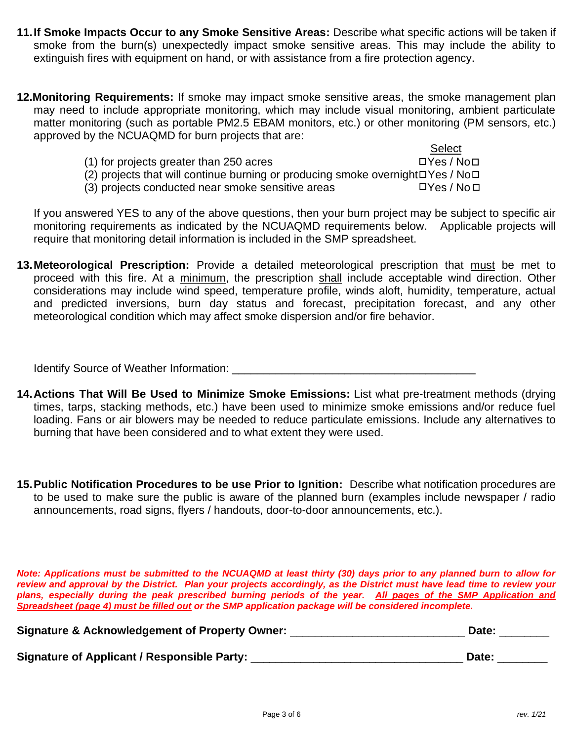- **11.If Smoke Impacts Occur to any Smoke Sensitive Areas:** Describe what specific actions will be taken if smoke from the burn(s) unexpectedly impact smoke sensitive areas. This may include the ability to extinguish fires with equipment on hand, or with assistance from a fire protection agency.
- **12.Monitoring Requirements:** If smoke may impact smoke sensitive areas, the smoke management plan may need to include appropriate monitoring, which may include visual monitoring, ambient particulate matter monitoring (such as portable PM2.5 EBAM monitors, etc.) or other monitoring (PM sensors, etc.) approved by the NCUAQMD for burn projects that are:
	- **Select** (1) for projects greater than 250 acres  $\Box$  Yes / No $\Box$ (2) projects that will continue burning or producing smoke overnight  $\Box$  Yes / No $\Box$
	- (3) projects conducted near smoke sensitive areas  $\Box$  Yes / No $\Box$

If you answered YES to any of the above questions, then your burn project may be subject to specific air monitoring requirements as indicated by the NCUAQMD requirements below. Applicable projects will require that monitoring detail information is included in the SMP spreadsheet.

**13.Meteorological Prescription:** Provide a detailed meteorological prescription that must be met to proceed with this fire. At a minimum, the prescription shall include acceptable wind direction. Other considerations may include wind speed, temperature profile, winds aloft, humidity, temperature, actual and predicted inversions, burn day status and forecast, precipitation forecast, and any other meteorological condition which may affect smoke dispersion and/or fire behavior.

Identify Source of Weather Information: \_\_\_\_\_\_\_\_\_\_\_\_\_\_\_\_\_\_\_\_\_\_\_\_\_\_\_\_\_\_\_\_\_\_\_\_\_\_\_

- **14.Actions That Will Be Used to Minimize Smoke Emissions:** List what pre-treatment methods (drying times, tarps, stacking methods, etc.) have been used to minimize smoke emissions and/or reduce fuel loading. Fans or air blowers may be needed to reduce particulate emissions. Include any alternatives to burning that have been considered and to what extent they were used.
- **15.Public Notification Procedures to be use Prior to Ignition:** Describe what notification procedures are to be used to make sure the public is aware of the planned burn (examples include newspaper / radio announcements, road signs, flyers / handouts, door-to-door announcements, etc.).

*Note: Applications must be submitted to the NCUAQMD at least thirty (30) days prior to any planned burn to allow for review and approval by the District. Plan your projects accordingly, as the District must have lead time to review your plans, especially during the peak prescribed burning periods of the year. All pages of the SMP Application and Spreadsheet (page 4) must be filled out or the SMP application package will be considered incomplete.*

| <b>Signature &amp; Acknowledgement of Property Owner:</b> | Date: |
|-----------------------------------------------------------|-------|
| <b>Signature of Applicant / Responsible Party:</b>        | Date: |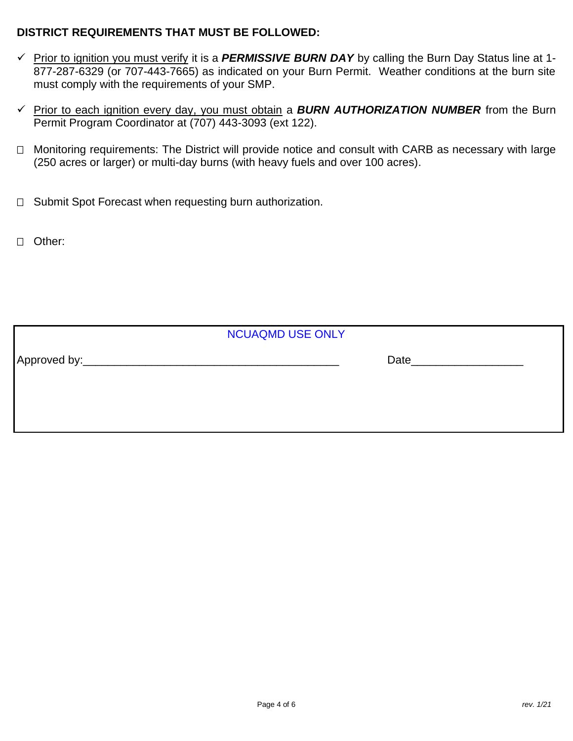#### **DISTRICT REQUIREMENTS THAT MUST BE FOLLOWED:**

- ✓ Prior to ignition you must verify it is a *PERMISSIVE BURN DAY* by calling the Burn Day Status line at 1- 877-287-6329 (or 707-443-7665) as indicated on your Burn Permit. Weather conditions at the burn site must comply with the requirements of your SMP.
- ✓ Prior to each ignition every day, you must obtain a *BURN AUTHORIZATION NUMBER* from the Burn Permit Program Coordinator at (707) 443-3093 (ext 122).
- □ Monitoring requirements: The District will provide notice and consult with CARB as necessary with large (250 acres or larger) or multi-day burns (with heavy fuels and over 100 acres).
- $\Box$  Submit Spot Forecast when requesting burn authorization.
- Other:

| <b>NCUAQMD USE ONLY</b> |  |      |  |  |  |  |
|-------------------------|--|------|--|--|--|--|
| Approved by:            |  | Date |  |  |  |  |
|                         |  |      |  |  |  |  |
|                         |  |      |  |  |  |  |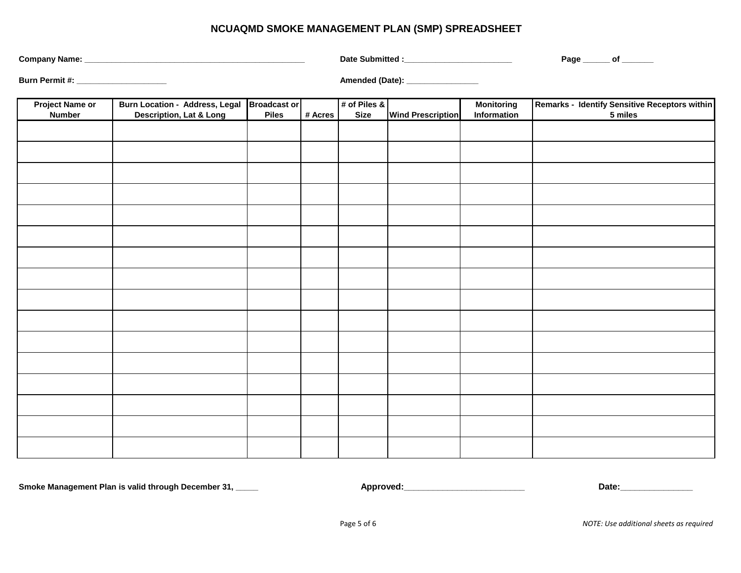#### **NCUAQMD SMOKE MANAGEMENT PLAN (SMP) SPREADSHEET**

|                                         |                                                                                   |              |         | Date Submitted :_________________________ |                                 | Page ______ of ______            |                                                          |
|-----------------------------------------|-----------------------------------------------------------------------------------|--------------|---------|-------------------------------------------|---------------------------------|----------------------------------|----------------------------------------------------------|
| Burn Permit #: _____________________    |                                                                                   |              |         |                                           | Amended (Date): _______________ |                                  |                                                          |
| <b>Project Name or</b><br><b>Number</b> | Burn Location - Address, Legal Broadcast or<br><b>Description, Lat &amp; Long</b> | <b>Piles</b> | # Acres | # of Piles &<br><b>Size</b>               | <b>Wind Prescription</b>        | <b>Monitoring</b><br>Information | Remarks - Identify Sensitive Receptors within<br>5 miles |
|                                         |                                                                                   |              |         |                                           |                                 |                                  |                                                          |
|                                         |                                                                                   |              |         |                                           |                                 |                                  |                                                          |
|                                         |                                                                                   |              |         |                                           |                                 |                                  |                                                          |
|                                         |                                                                                   |              |         |                                           |                                 |                                  |                                                          |
|                                         |                                                                                   |              |         |                                           |                                 |                                  |                                                          |
|                                         |                                                                                   |              |         |                                           |                                 |                                  |                                                          |
|                                         |                                                                                   |              |         |                                           |                                 |                                  |                                                          |
|                                         |                                                                                   |              |         |                                           |                                 |                                  |                                                          |
|                                         |                                                                                   |              |         |                                           |                                 |                                  |                                                          |
|                                         |                                                                                   |              |         |                                           |                                 |                                  |                                                          |
|                                         |                                                                                   |              |         |                                           |                                 |                                  |                                                          |
|                                         |                                                                                   |              |         |                                           |                                 |                                  |                                                          |
|                                         |                                                                                   |              |         |                                           |                                 |                                  |                                                          |
|                                         |                                                                                   |              |         |                                           |                                 |                                  |                                                          |
|                                         |                                                                                   |              |         |                                           |                                 |                                  |                                                          |
|                                         |                                                                                   |              |         |                                           |                                 |                                  |                                                          |

**Smoke Management Plan is valid through December 31, \_\_\_\_\_**

**Approved:\_\_\_\_\_\_\_\_\_\_\_\_\_\_\_\_\_\_\_\_\_\_\_\_\_ Date:\_\_\_\_\_\_\_\_\_\_\_\_\_\_\_**